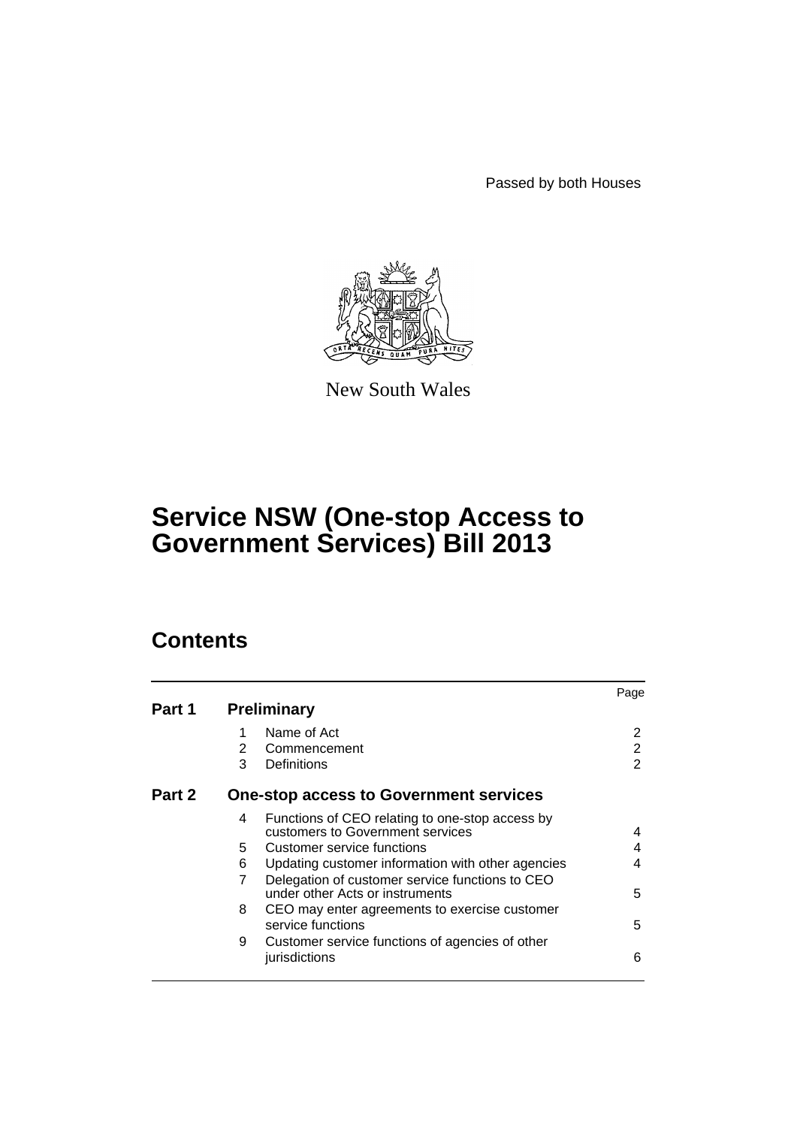Passed by both Houses



New South Wales

# **Service NSW (One-stop Access to Government Services) Bill 2013**

# **Contents**

|        |    |                                                                                     | Page |
|--------|----|-------------------------------------------------------------------------------------|------|
| Part 1 |    | <b>Preliminary</b>                                                                  |      |
|        | 1  | Name of Act                                                                         | 2    |
|        | 2  | Commencement                                                                        | 2    |
|        | 3  | Definitions                                                                         | 2    |
| Part 2 |    | <b>One-stop access to Government services</b>                                       |      |
|        | 4  | Functions of CEO relating to one-stop access by<br>customers to Government services | 4    |
|        | 5. | Customer service functions                                                          | 4    |
|        | 6  | Updating customer information with other agencies                                   | 4    |
|        | 7  | Delegation of customer service functions to CEO<br>under other Acts or instruments  | 5    |
|        | 8  | CEO may enter agreements to exercise customer                                       |      |
|        |    | service functions                                                                   | 5    |
|        | 9  | Customer service functions of agencies of other<br>jurisdictions                    | 6    |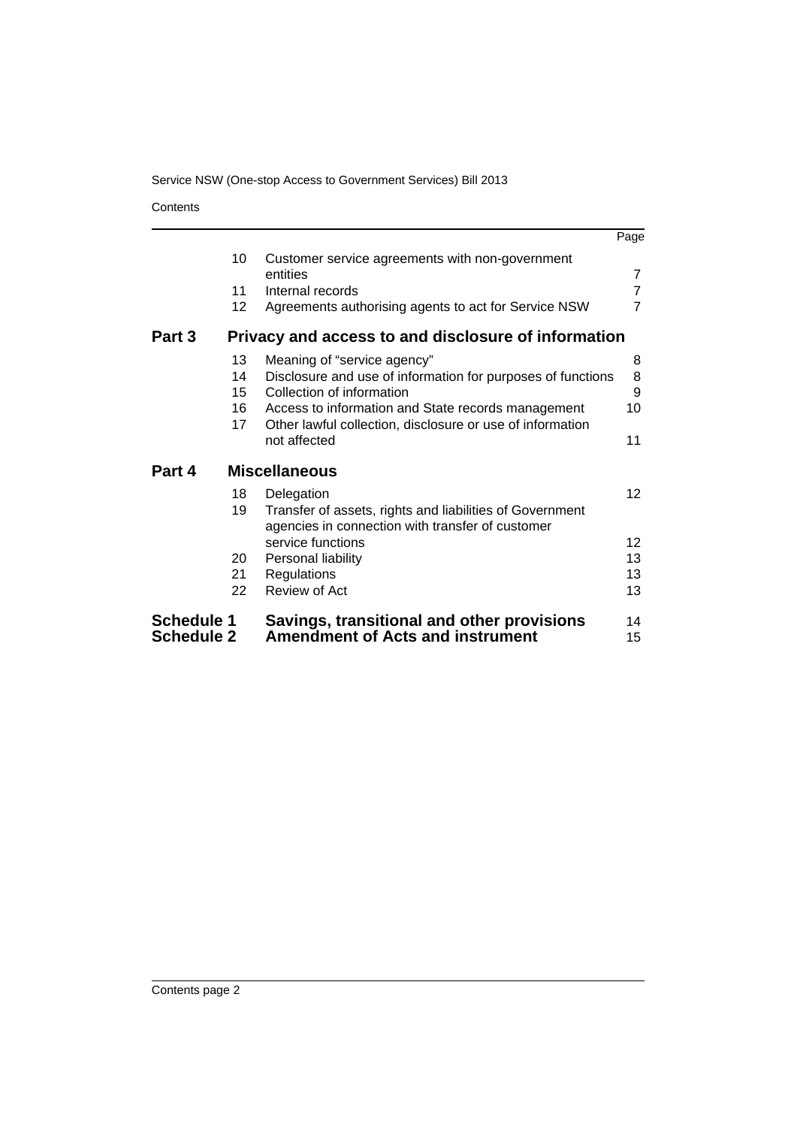# Service NSW (One-stop Access to Government Services) Bill 2013

**Contents** 

|                                        |                 |                                                                                       | Page            |
|----------------------------------------|-----------------|---------------------------------------------------------------------------------------|-----------------|
|                                        | 10              | Customer service agreements with non-government<br>entities                           | $\overline{7}$  |
|                                        | 11              | Internal records                                                                      | $\overline{7}$  |
|                                        | 12 <sup>2</sup> | Agreements authorising agents to act for Service NSW                                  | $\overline{7}$  |
| Part 3                                 |                 | Privacy and access to and disclosure of information                                   |                 |
|                                        | 13              | Meaning of "service agency"                                                           | 8               |
|                                        | 14              | Disclosure and use of information for purposes of functions                           | 8               |
|                                        | 15              | Collection of information                                                             | 9               |
|                                        | 16              | Access to information and State records management                                    | 10              |
|                                        | 17              | Other lawful collection, disclosure or use of information                             |                 |
|                                        |                 | not affected                                                                          | 11              |
| Part 4                                 |                 | <b>Miscellaneous</b>                                                                  |                 |
|                                        | 18              | Delegation                                                                            | 12 <sup>2</sup> |
|                                        | 19              | Transfer of assets, rights and liabilities of Government                              |                 |
|                                        |                 | agencies in connection with transfer of customer                                      |                 |
|                                        |                 | service functions                                                                     | 12 <sup>2</sup> |
|                                        | 20              | Personal liability                                                                    | 13              |
|                                        | 21              | Regulations                                                                           | 13              |
|                                        | 22              | Review of Act                                                                         | 13              |
| <b>Schedule 1</b><br><b>Schedule 2</b> |                 | Savings, transitional and other provisions<br><b>Amendment of Acts and instrument</b> | 14<br>15        |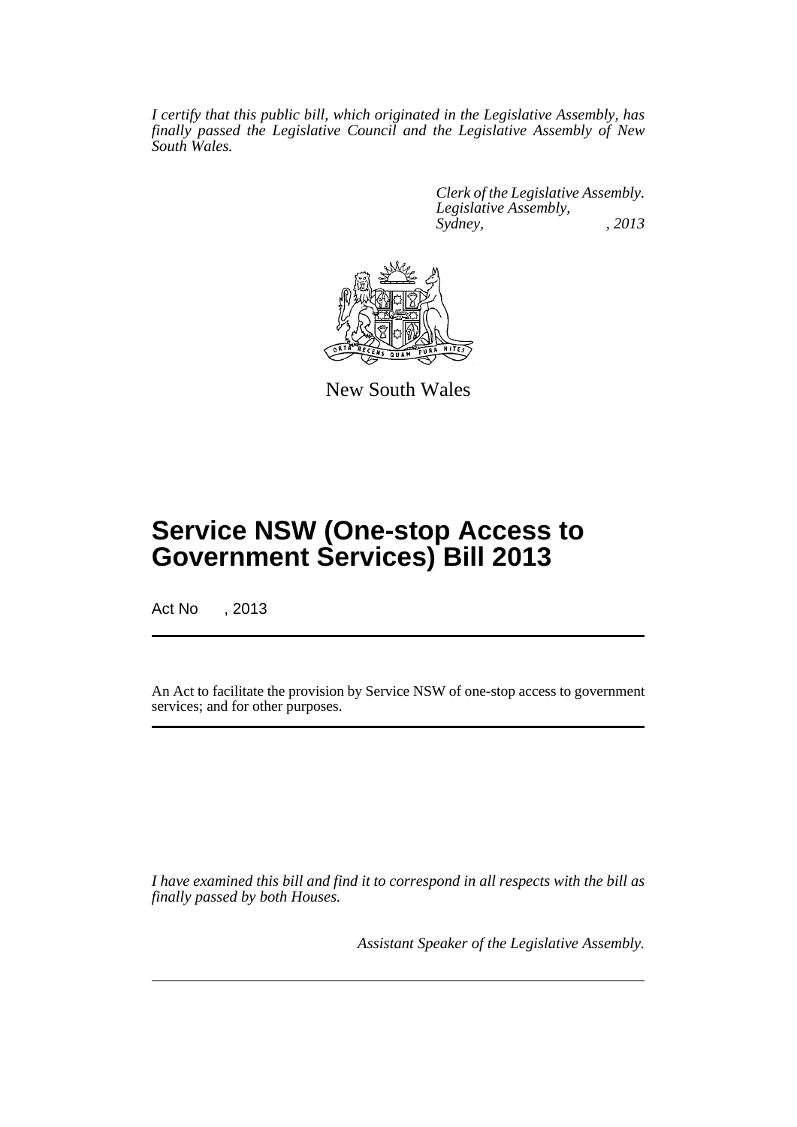*I certify that this public bill, which originated in the Legislative Assembly, has finally passed the Legislative Council and the Legislative Assembly of New South Wales.*

> *Clerk of the Legislative Assembly. Legislative Assembly, Sydney, , 2013*



New South Wales

# **Service NSW (One-stop Access to Government Services) Bill 2013**

Act No , 2013

An Act to facilitate the provision by Service NSW of one-stop access to government services; and for other purposes.

*I have examined this bill and find it to correspond in all respects with the bill as finally passed by both Houses.*

*Assistant Speaker of the Legislative Assembly.*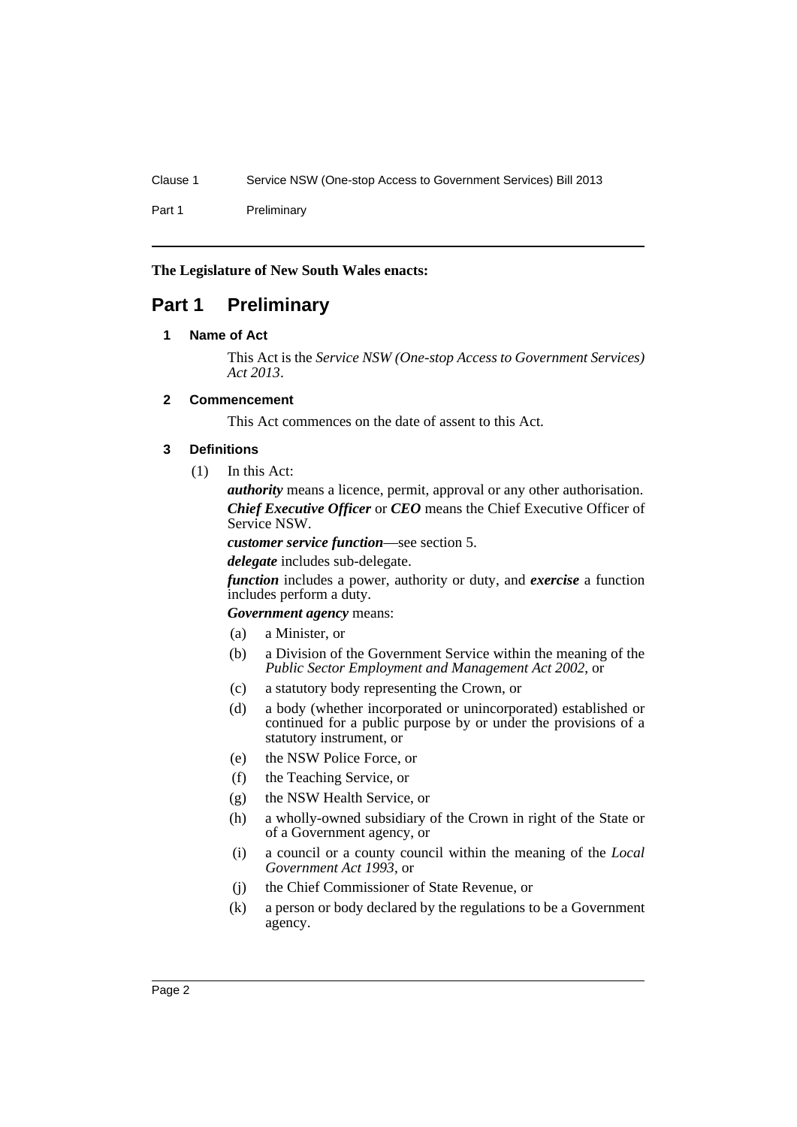Part 1 Preliminary

**The Legislature of New South Wales enacts:**

# <span id="page-3-1"></span><span id="page-3-0"></span>**Part 1 Preliminary**

## **1 Name of Act**

This Act is the *Service NSW (One-stop Access to Government Services) Act 2013*.

# <span id="page-3-2"></span>**2 Commencement**

This Act commences on the date of assent to this Act.

# <span id="page-3-3"></span>**3 Definitions**

(1) In this Act:

*authority* means a licence, permit, approval or any other authorisation. *Chief Executive Officer* or *CEO* means the Chief Executive Officer of Service NSW.

*customer service function*—see section 5.

*delegate* includes sub-delegate.

*function* includes a power, authority or duty, and *exercise* a function includes perform a duty.

*Government agency* means:

- (a) a Minister, or
- (b) a Division of the Government Service within the meaning of the *Public Sector Employment and Management Act 2002*, or
- (c) a statutory body representing the Crown, or
- (d) a body (whether incorporated or unincorporated) established or continued for a public purpose by or under the provisions of a statutory instrument, or
- (e) the NSW Police Force, or
- (f) the Teaching Service, or
- (g) the NSW Health Service, or
- (h) a wholly-owned subsidiary of the Crown in right of the State or of a Government agency, or
- (i) a council or a county council within the meaning of the *Local Government Act 1993*, or
- (j) the Chief Commissioner of State Revenue, or
- (k) a person or body declared by the regulations to be a Government agency.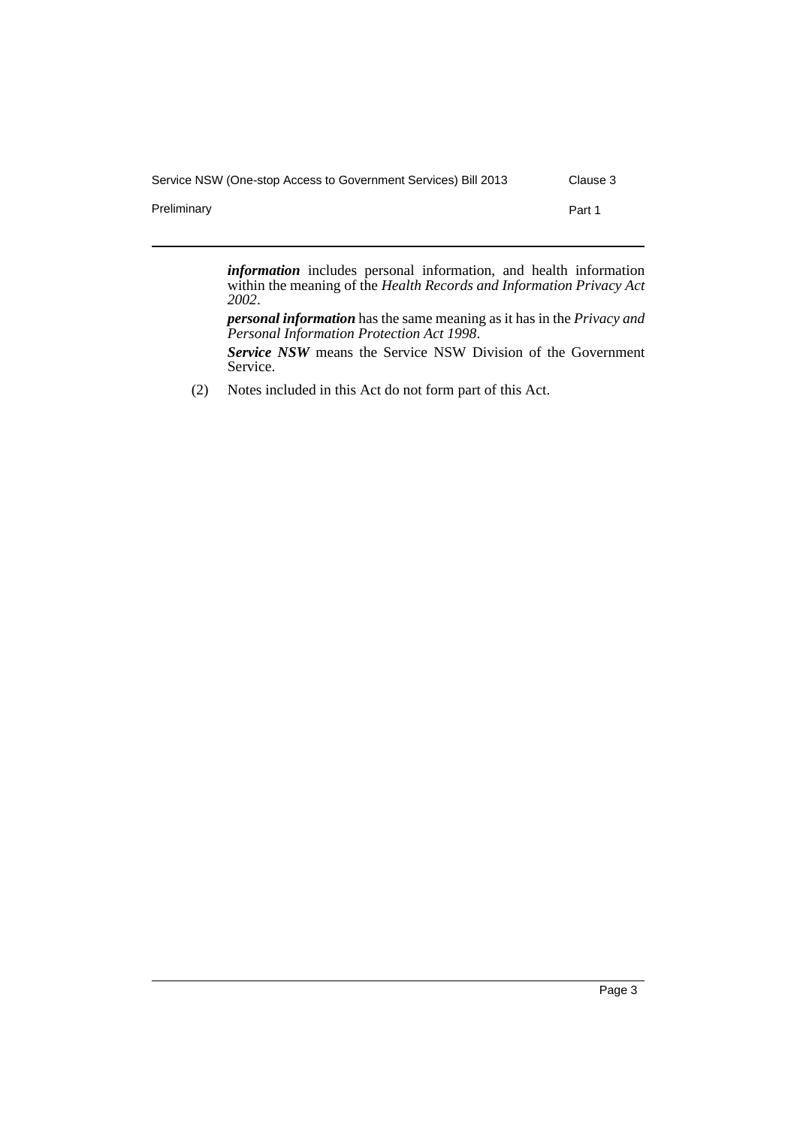| Service NSW (One-stop Access to Government Services) Bill 2013 |  | Clause 3 |  |
|----------------------------------------------------------------|--|----------|--|
|                                                                |  |          |  |

Preliminary **Preliminary Part 1** 

*information* includes personal information, and health information within the meaning of the *Health Records and Information Privacy Act 2002*.

*personal information* has the same meaning as it has in the *Privacy and Personal Information Protection Act 1998*.

*Service NSW* means the Service NSW Division of the Government Service.

(2) Notes included in this Act do not form part of this Act.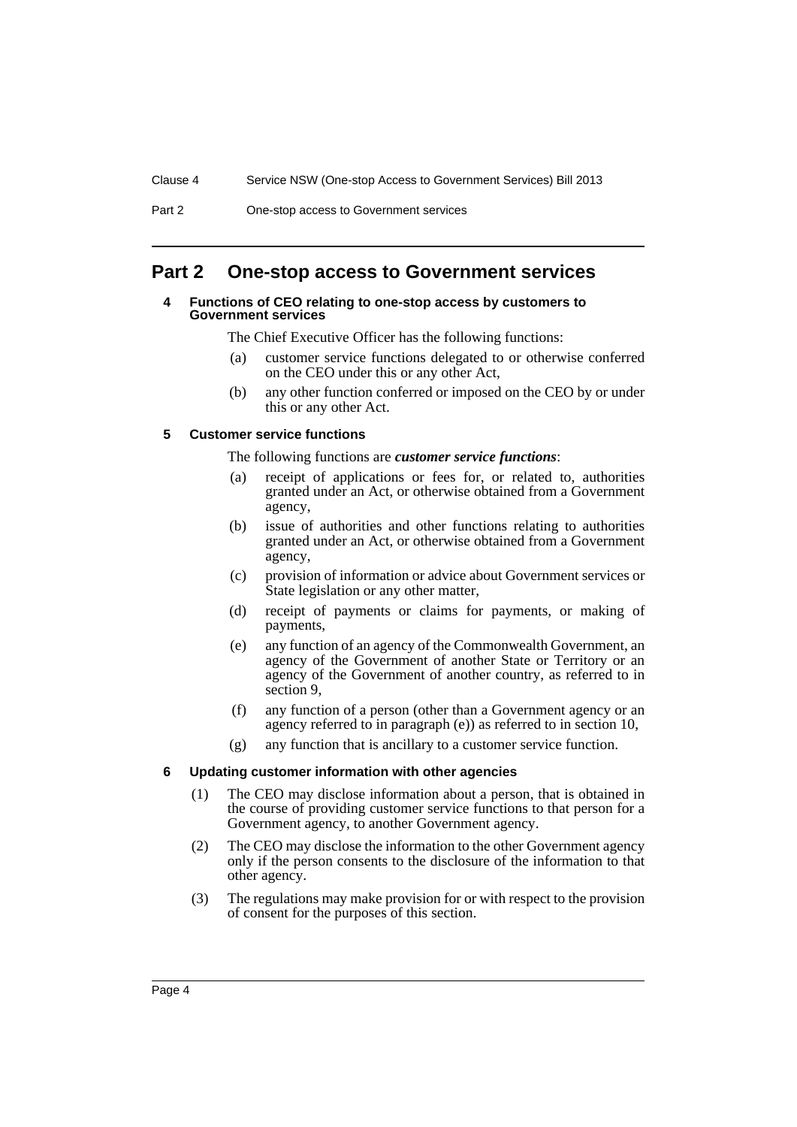Part 2 One-stop access to Government services

# <span id="page-5-1"></span><span id="page-5-0"></span>**Part 2 One-stop access to Government services**

#### **4 Functions of CEO relating to one-stop access by customers to Government services**

The Chief Executive Officer has the following functions:

- (a) customer service functions delegated to or otherwise conferred on the CEO under this or any other Act,
- (b) any other function conferred or imposed on the CEO by or under this or any other Act.

## <span id="page-5-2"></span>**5 Customer service functions**

The following functions are *customer service functions*:

- (a) receipt of applications or fees for, or related to, authorities granted under an Act, or otherwise obtained from a Government agency,
- (b) issue of authorities and other functions relating to authorities granted under an Act, or otherwise obtained from a Government agency,
- (c) provision of information or advice about Government services or State legislation or any other matter,
- (d) receipt of payments or claims for payments, or making of payments,
- (e) any function of an agency of the Commonwealth Government, an agency of the Government of another State or Territory or an agency of the Government of another country, as referred to in section 9,
- (f) any function of a person (other than a Government agency or an agency referred to in paragraph (e)) as referred to in section 10,
- (g) any function that is ancillary to a customer service function.

#### <span id="page-5-3"></span>**6 Updating customer information with other agencies**

- (1) The CEO may disclose information about a person, that is obtained in the course of providing customer service functions to that person for a Government agency, to another Government agency.
- (2) The CEO may disclose the information to the other Government agency only if the person consents to the disclosure of the information to that other agency.
- (3) The regulations may make provision for or with respect to the provision of consent for the purposes of this section.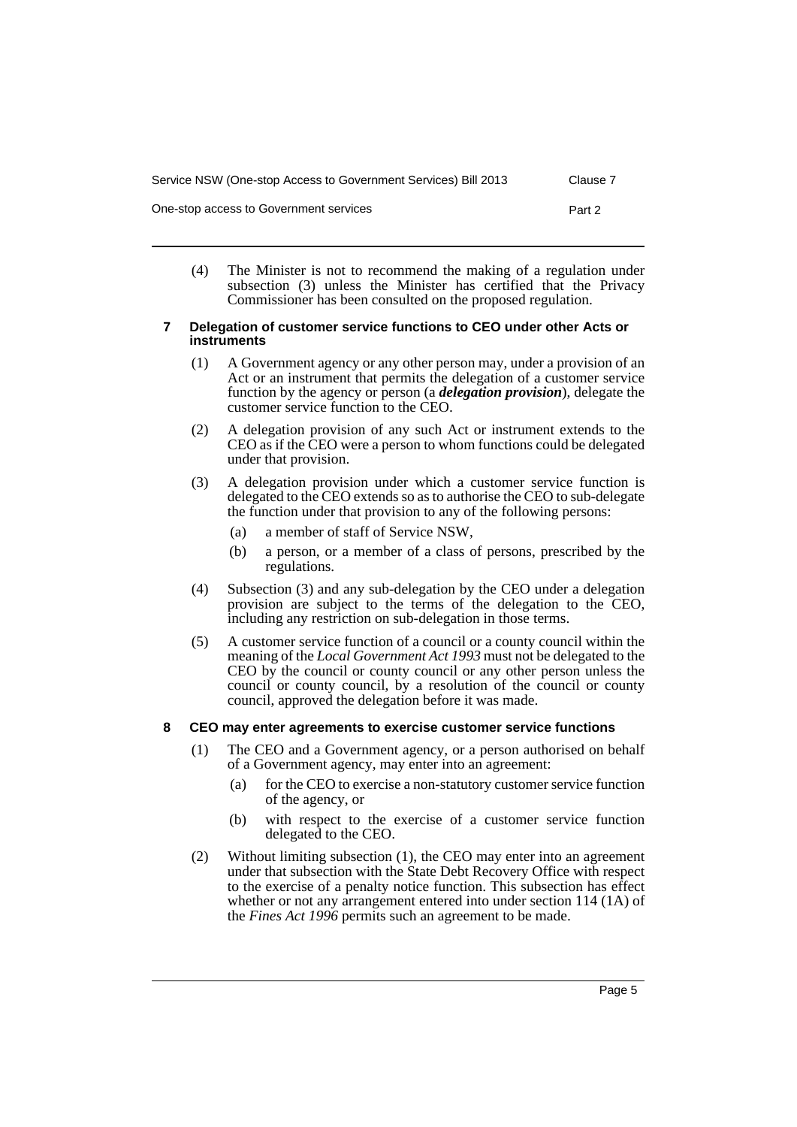| Service NSW (One-stop Access to Government Services) Bill 2013 | Clause 7 |
|----------------------------------------------------------------|----------|
| One-stop access to Government services                         | Part 2   |

(4) The Minister is not to recommend the making of a regulation under subsection (3) unless the Minister has certified that the Privacy Commissioner has been consulted on the proposed regulation.

#### <span id="page-6-0"></span>**7 Delegation of customer service functions to CEO under other Acts or instruments**

- (1) A Government agency or any other person may, under a provision of an Act or an instrument that permits the delegation of a customer service function by the agency or person (a *delegation provision*), delegate the customer service function to the CEO.
- (2) A delegation provision of any such Act or instrument extends to the CEO as if the CEO were a person to whom functions could be delegated under that provision.
- (3) A delegation provision under which a customer service function is delegated to the CEO extends so as to authorise the CEO to sub-delegate the function under that provision to any of the following persons:
	- (a) a member of staff of Service NSW,
	- (b) a person, or a member of a class of persons, prescribed by the regulations.
- (4) Subsection (3) and any sub-delegation by the CEO under a delegation provision are subject to the terms of the delegation to the CEO, including any restriction on sub-delegation in those terms.
- (5) A customer service function of a council or a county council within the meaning of the *Local Government Act 1993* must not be delegated to the CEO by the council or county council or any other person unless the council or county council, by a resolution of the council or county council, approved the delegation before it was made.

# <span id="page-6-1"></span>**8 CEO may enter agreements to exercise customer service functions**

- (1) The CEO and a Government agency, or a person authorised on behalf of a Government agency, may enter into an agreement:
	- (a) for the CEO to exercise a non-statutory customer service function of the agency, or
	- (b) with respect to the exercise of a customer service function delegated to the CEO.
- (2) Without limiting subsection (1), the CEO may enter into an agreement under that subsection with the State Debt Recovery Office with respect to the exercise of a penalty notice function. This subsection has effect whether or not any arrangement entered into under section 114 (1A) of the *Fines Act 1996* permits such an agreement to be made.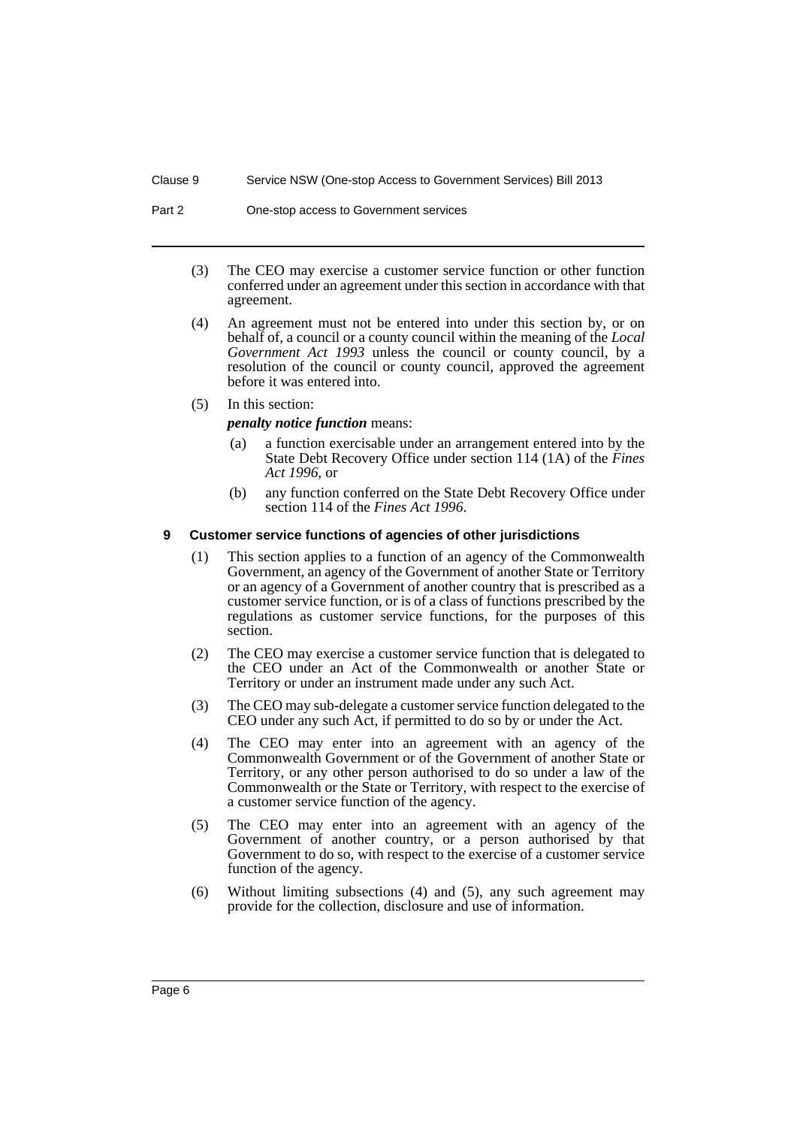#### Clause 9 Service NSW (One-stop Access to Government Services) Bill 2013

- (3) The CEO may exercise a customer service function or other function conferred under an agreement under this section in accordance with that agreement.
- (4) An agreement must not be entered into under this section by, or on behalf of, a council or a county council within the meaning of the *Local Government Act 1993* unless the council or county council, by a resolution of the council or county council, approved the agreement before it was entered into.
- (5) In this section:

#### *penalty notice function* means:

- (a) a function exercisable under an arrangement entered into by the State Debt Recovery Office under section 114 (1A) of the *Fines Act 1996*, or
- (b) any function conferred on the State Debt Recovery Office under section 114 of the *Fines Act 1996*.

#### <span id="page-7-0"></span>**9 Customer service functions of agencies of other jurisdictions**

- (1) This section applies to a function of an agency of the Commonwealth Government, an agency of the Government of another State or Territory or an agency of a Government of another country that is prescribed as a customer service function, or is of a class of functions prescribed by the regulations as customer service functions, for the purposes of this section.
- (2) The CEO may exercise a customer service function that is delegated to the CEO under an Act of the Commonwealth or another State or Territory or under an instrument made under any such Act.
- (3) The CEO may sub-delegate a customer service function delegated to the CEO under any such Act, if permitted to do so by or under the Act.
- (4) The CEO may enter into an agreement with an agency of the Commonwealth Government or of the Government of another State or Territory, or any other person authorised to do so under a law of the Commonwealth or the State or Territory, with respect to the exercise of a customer service function of the agency.
- (5) The CEO may enter into an agreement with an agency of the Government of another country, or a person authorised by that Government to do so, with respect to the exercise of a customer service function of the agency.
- (6) Without limiting subsections (4) and (5), any such agreement may provide for the collection, disclosure and use of information.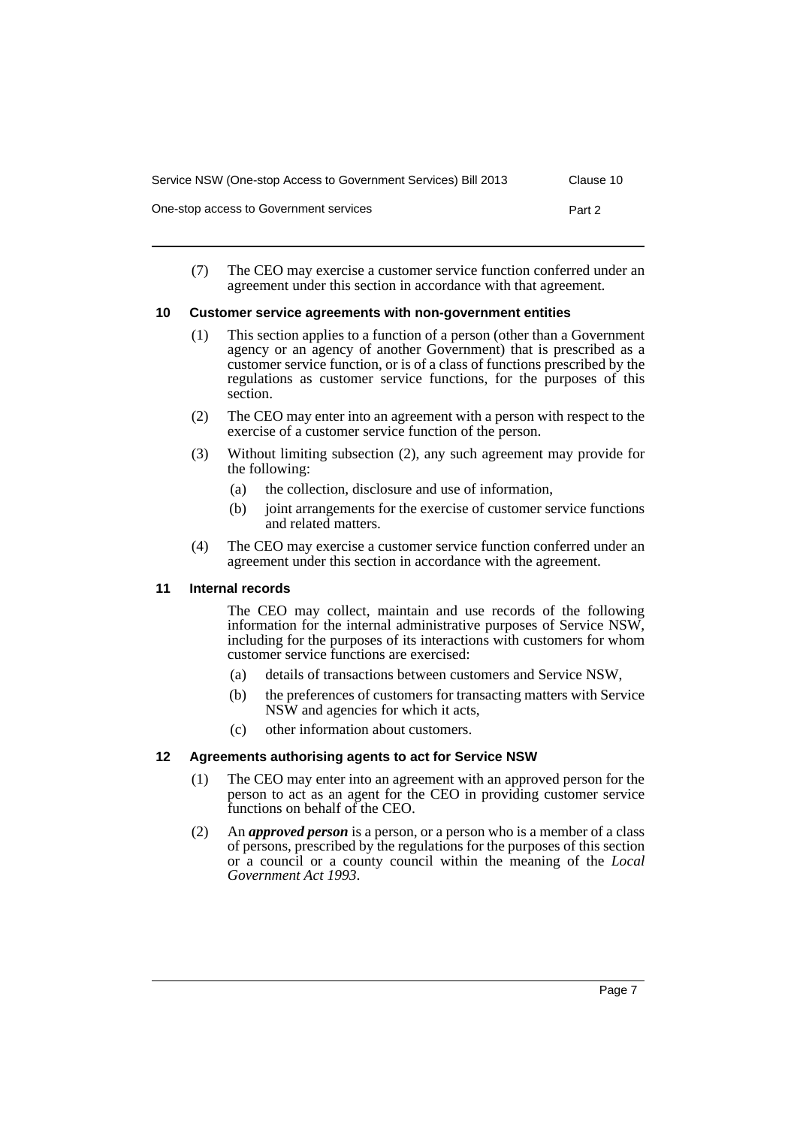| Service NSW (One-stop Access to Government Services) Bill 2013 | Clause 10 |
|----------------------------------------------------------------|-----------|
| One-stop access to Government services                         | Part 2    |

(7) The CEO may exercise a customer service function conferred under an agreement under this section in accordance with that agreement.

## <span id="page-8-0"></span>**10 Customer service agreements with non-government entities**

- (1) This section applies to a function of a person (other than a Government agency or an agency of another Government) that is prescribed as a customer service function, or is of a class of functions prescribed by the regulations as customer service functions, for the purposes of this section.
- (2) The CEO may enter into an agreement with a person with respect to the exercise of a customer service function of the person.
- (3) Without limiting subsection (2), any such agreement may provide for the following:
	- (a) the collection, disclosure and use of information,
	- (b) joint arrangements for the exercise of customer service functions and related matters.
- (4) The CEO may exercise a customer service function conferred under an agreement under this section in accordance with the agreement.

#### <span id="page-8-1"></span>**11 Internal records**

The CEO may collect, maintain and use records of the following information for the internal administrative purposes of Service NSW, including for the purposes of its interactions with customers for whom customer service functions are exercised:

- (a) details of transactions between customers and Service NSW,
- (b) the preferences of customers for transacting matters with Service NSW and agencies for which it acts,
- (c) other information about customers.

# <span id="page-8-2"></span>**12 Agreements authorising agents to act for Service NSW**

- (1) The CEO may enter into an agreement with an approved person for the person to act as an agent for the CEO in providing customer service functions on behalf of the CEO.
- (2) An *approved person* is a person, or a person who is a member of a class of persons, prescribed by the regulations for the purposes of this section or a council or a county council within the meaning of the *Local Government Act 1993*.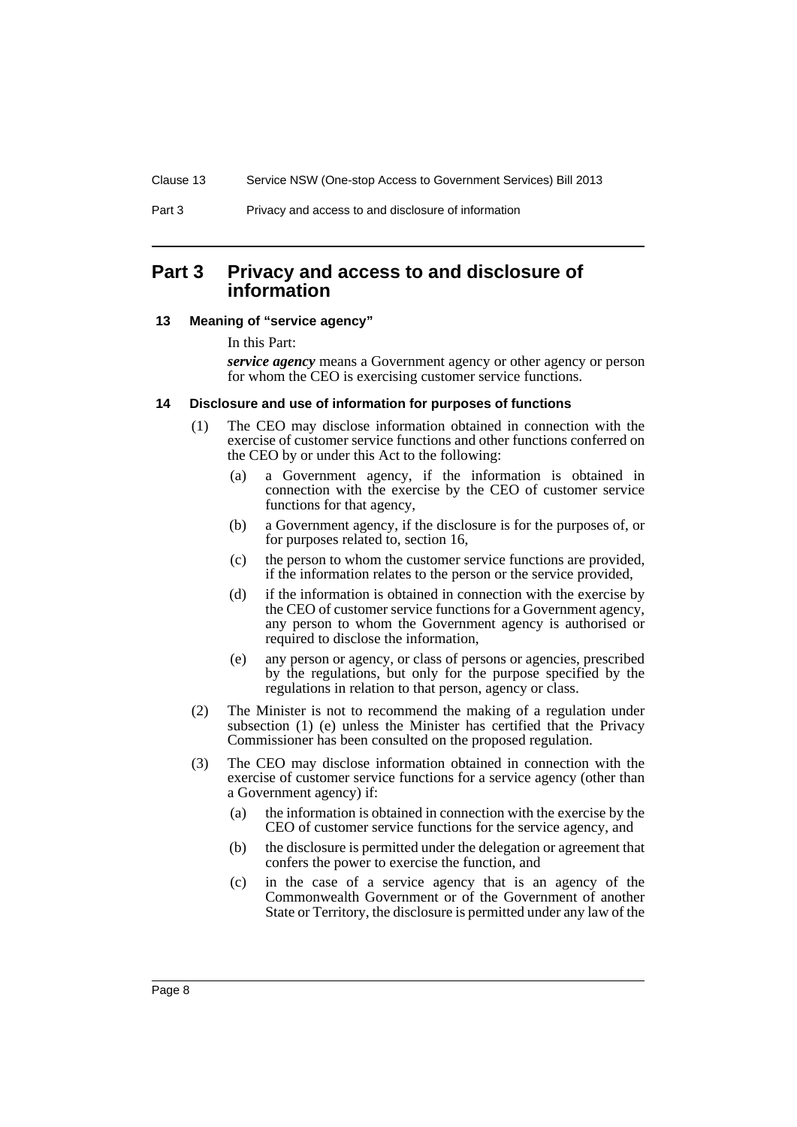# <span id="page-9-0"></span>**Part 3 Privacy and access to and disclosure of information**

#### <span id="page-9-1"></span>**13 Meaning of "service agency"**

In this Part:

*service agency* means a Government agency or other agency or person for whom the CEO is exercising customer service functions.

#### <span id="page-9-2"></span>**14 Disclosure and use of information for purposes of functions**

- (1) The CEO may disclose information obtained in connection with the exercise of customer service functions and other functions conferred on the CEO by or under this Act to the following:
	- (a) a Government agency, if the information is obtained in connection with the exercise by the CEO of customer service functions for that agency,
	- (b) a Government agency, if the disclosure is for the purposes of, or for purposes related to, section 16,
	- (c) the person to whom the customer service functions are provided, if the information relates to the person or the service provided,
	- (d) if the information is obtained in connection with the exercise by the CEO of customer service functions for a Government agency, any person to whom the Government agency is authorised or required to disclose the information,
	- (e) any person or agency, or class of persons or agencies, prescribed by the regulations, but only for the purpose specified by the regulations in relation to that person, agency or class.
- (2) The Minister is not to recommend the making of a regulation under subsection (1) (e) unless the Minister has certified that the Privacy Commissioner has been consulted on the proposed regulation.
- (3) The CEO may disclose information obtained in connection with the exercise of customer service functions for a service agency (other than a Government agency) if:
	- (a) the information is obtained in connection with the exercise by the CEO of customer service functions for the service agency, and
	- (b) the disclosure is permitted under the delegation or agreement that confers the power to exercise the function, and
	- (c) in the case of a service agency that is an agency of the Commonwealth Government or of the Government of another State or Territory, the disclosure is permitted under any law of the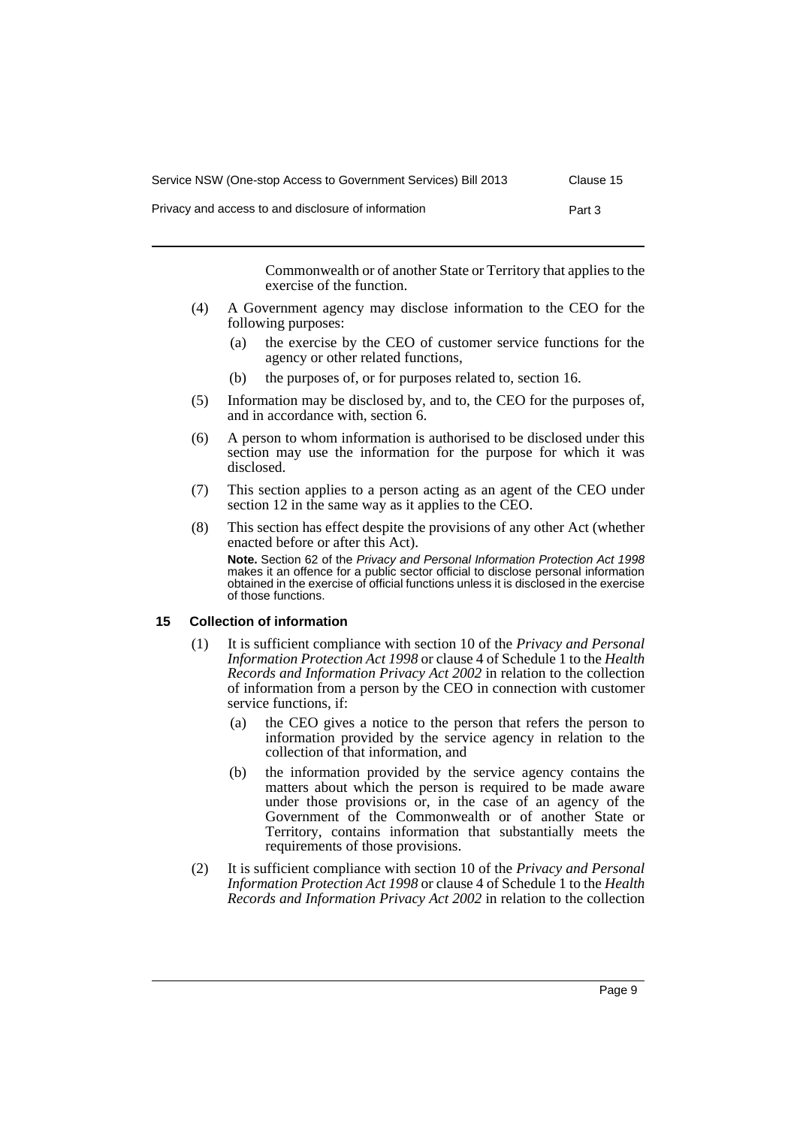| Service NSW (One-stop Access to Government Services) Bill 2013 | Clause 15 |
|----------------------------------------------------------------|-----------|
| Privacy and access to and disclosure of information            | Part 3    |

Commonwealth or of another State or Territory that applies to the exercise of the function.

- (4) A Government agency may disclose information to the CEO for the following purposes:
	- (a) the exercise by the CEO of customer service functions for the agency or other related functions,
	- (b) the purposes of, or for purposes related to, section 16.
- (5) Information may be disclosed by, and to, the CEO for the purposes of, and in accordance with, section 6.
- (6) A person to whom information is authorised to be disclosed under this section may use the information for the purpose for which it was disclosed.
- (7) This section applies to a person acting as an agent of the CEO under section 12 in the same way as it applies to the CEO.
- (8) This section has effect despite the provisions of any other Act (whether enacted before or after this Act).

**Note.** Section 62 of the *Privacy and Personal Information Protection Act 1998* makes it an offence for a public sector official to disclose personal information obtained in the exercise of official functions unless it is disclosed in the exercise of those functions.

#### <span id="page-10-0"></span>**15 Collection of information**

- (1) It is sufficient compliance with section 10 of the *Privacy and Personal Information Protection Act 1998* or clause 4 of Schedule 1 to the *Health Records and Information Privacy Act 2002* in relation to the collection of information from a person by the CEO in connection with customer service functions, if:
	- (a) the CEO gives a notice to the person that refers the person to information provided by the service agency in relation to the collection of that information, and
	- (b) the information provided by the service agency contains the matters about which the person is required to be made aware under those provisions or, in the case of an agency of the Government of the Commonwealth or of another State or Territory, contains information that substantially meets the requirements of those provisions.
- (2) It is sufficient compliance with section 10 of the *Privacy and Personal Information Protection Act 1998* or clause 4 of Schedule 1 to the *Health Records and Information Privacy Act 2002* in relation to the collection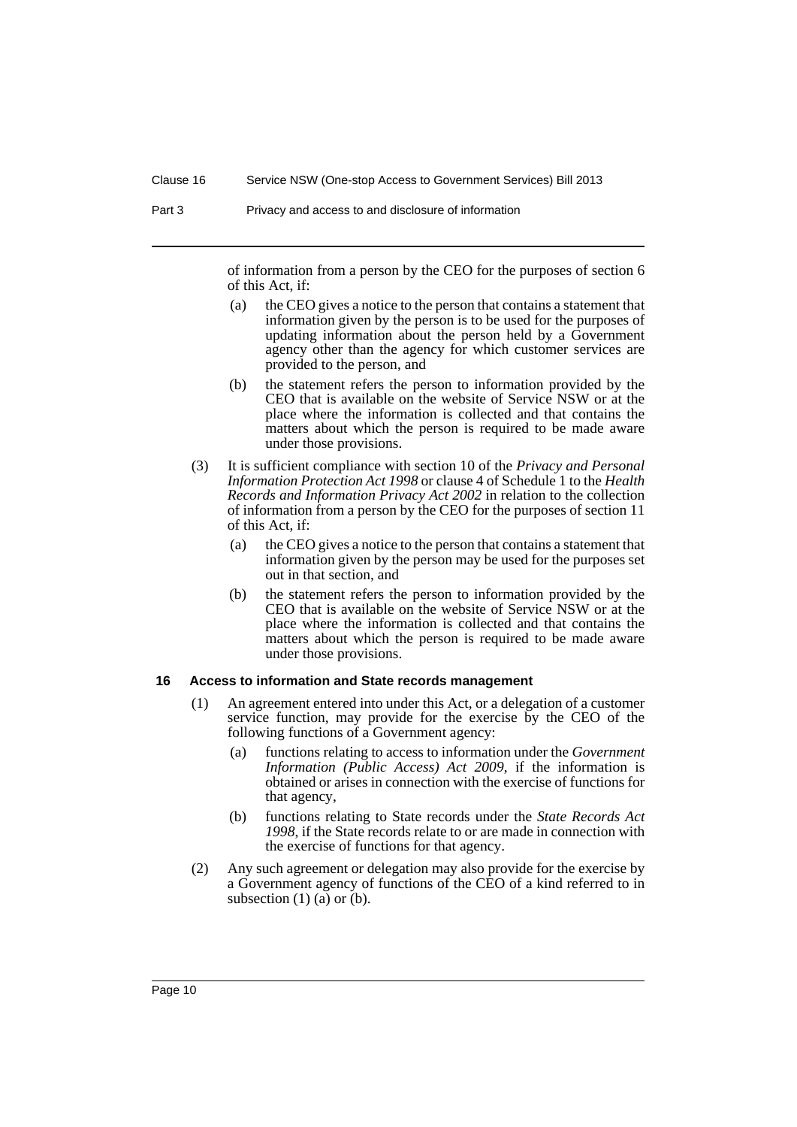Part 3 Privacy and access to and disclosure of information

of information from a person by the CEO for the purposes of section 6 of this Act, if:

- (a) the CEO gives a notice to the person that contains a statement that information given by the person is to be used for the purposes of updating information about the person held by a Government agency other than the agency for which customer services are provided to the person, and
- (b) the statement refers the person to information provided by the CEO that is available on the website of Service NSW or at the place where the information is collected and that contains the matters about which the person is required to be made aware under those provisions.
- (3) It is sufficient compliance with section 10 of the *Privacy and Personal Information Protection Act 1998* or clause 4 of Schedule 1 to the *Health Records and Information Privacy Act 2002* in relation to the collection of information from a person by the CEO for the purposes of section 11 of this Act, if:
	- (a) the CEO gives a notice to the person that contains a statement that information given by the person may be used for the purposes set out in that section, and
	- (b) the statement refers the person to information provided by the CEO that is available on the website of Service NSW or at the place where the information is collected and that contains the matters about which the person is required to be made aware under those provisions.

#### <span id="page-11-0"></span>**16 Access to information and State records management**

- (1) An agreement entered into under this Act, or a delegation of a customer service function, may provide for the exercise by the CEO of the following functions of a Government agency:
	- (a) functions relating to access to information under the *Government Information (Public Access) Act 2009*, if the information is obtained or arises in connection with the exercise of functions for that agency,
	- (b) functions relating to State records under the *State Records Act 1998*, if the State records relate to or are made in connection with the exercise of functions for that agency.
- (2) Any such agreement or delegation may also provide for the exercise by a Government agency of functions of the CEO of a kind referred to in subsection  $(1)$   $(a)$  or  $(b)$ .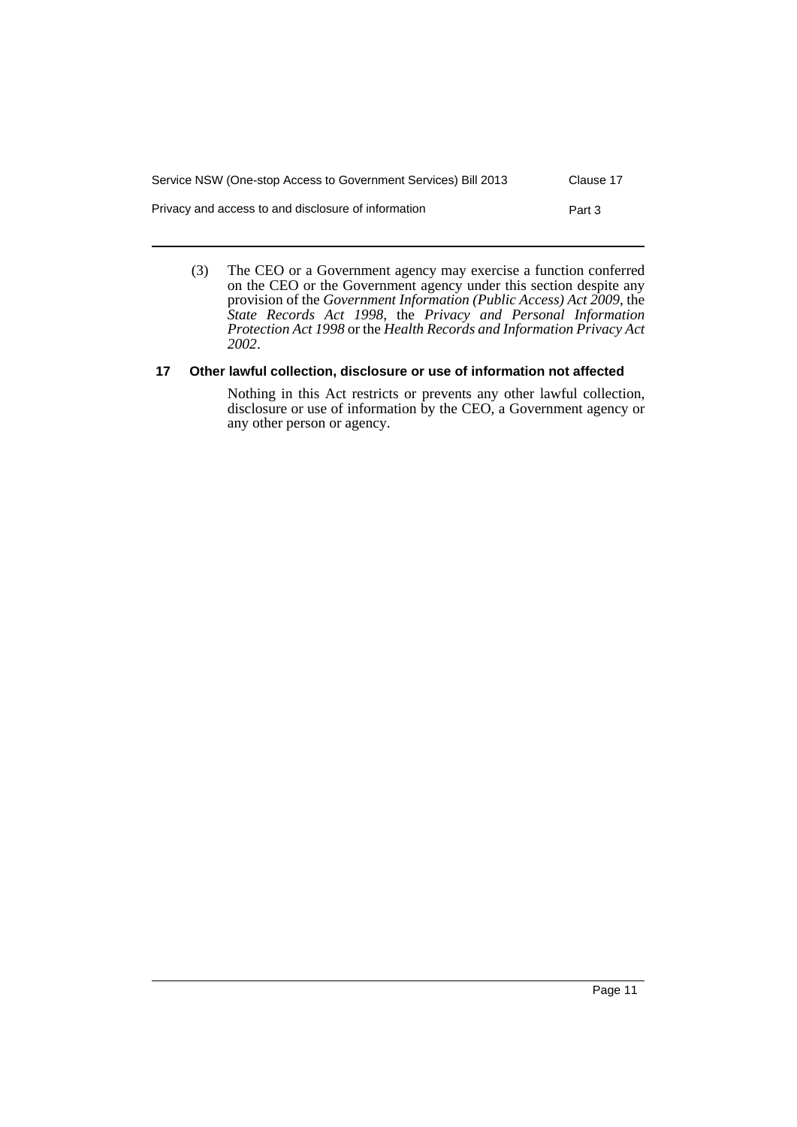| Service NSW (One-stop Access to Government Services) Bill 2013 | Clause 17 |
|----------------------------------------------------------------|-----------|
| Privacy and access to and disclosure of information            | Part 3    |

(3) The CEO or a Government agency may exercise a function conferred on the CEO or the Government agency under this section despite any provision of the *Government Information (Public Access) Act 2009*, the *State Records Act 1998*, the *Privacy and Personal Information Protection Act 1998* or the *Health Records and Information Privacy Act 2002*.

# <span id="page-12-0"></span>**17 Other lawful collection, disclosure or use of information not affected**

Nothing in this Act restricts or prevents any other lawful collection, disclosure or use of information by the CEO, a Government agency or any other person or agency.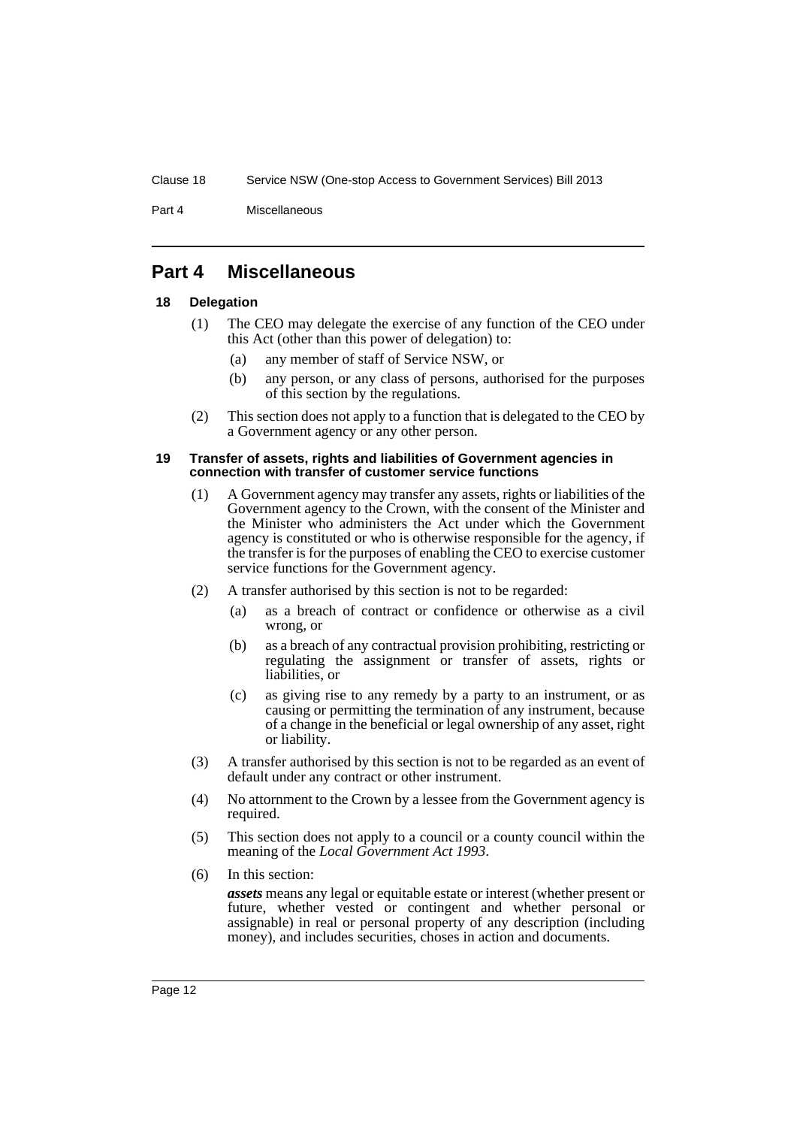#### Clause 18 Service NSW (One-stop Access to Government Services) Bill 2013

Part 4 Miscellaneous

# <span id="page-13-0"></span>**Part 4 Miscellaneous**

# <span id="page-13-1"></span>**18 Delegation**

- (1) The CEO may delegate the exercise of any function of the CEO under this Act (other than this power of delegation) to:
	- (a) any member of staff of Service NSW, or
	- (b) any person, or any class of persons, authorised for the purposes of this section by the regulations.
- (2) This section does not apply to a function that is delegated to the CEO by a Government agency or any other person.

#### <span id="page-13-2"></span>**19 Transfer of assets, rights and liabilities of Government agencies in connection with transfer of customer service functions**

- (1) A Government agency may transfer any assets, rights or liabilities of the Government agency to the Crown, with the consent of the Minister and the Minister who administers the Act under which the Government agency is constituted or who is otherwise responsible for the agency, if the transfer is for the purposes of enabling the CEO to exercise customer service functions for the Government agency.
- (2) A transfer authorised by this section is not to be regarded:
	- (a) as a breach of contract or confidence or otherwise as a civil wrong, or
	- (b) as a breach of any contractual provision prohibiting, restricting or regulating the assignment or transfer of assets, rights or liabilities, or
	- (c) as giving rise to any remedy by a party to an instrument, or as causing or permitting the termination of any instrument, because of a change in the beneficial or legal ownership of any asset, right or liability.
- (3) A transfer authorised by this section is not to be regarded as an event of default under any contract or other instrument.
- (4) No attornment to the Crown by a lessee from the Government agency is required.
- (5) This section does not apply to a council or a county council within the meaning of the *Local Government Act 1993*.
- (6) In this section:

*assets* means any legal or equitable estate or interest (whether present or future, whether vested or contingent and whether personal or assignable) in real or personal property of any description (including money), and includes securities, choses in action and documents.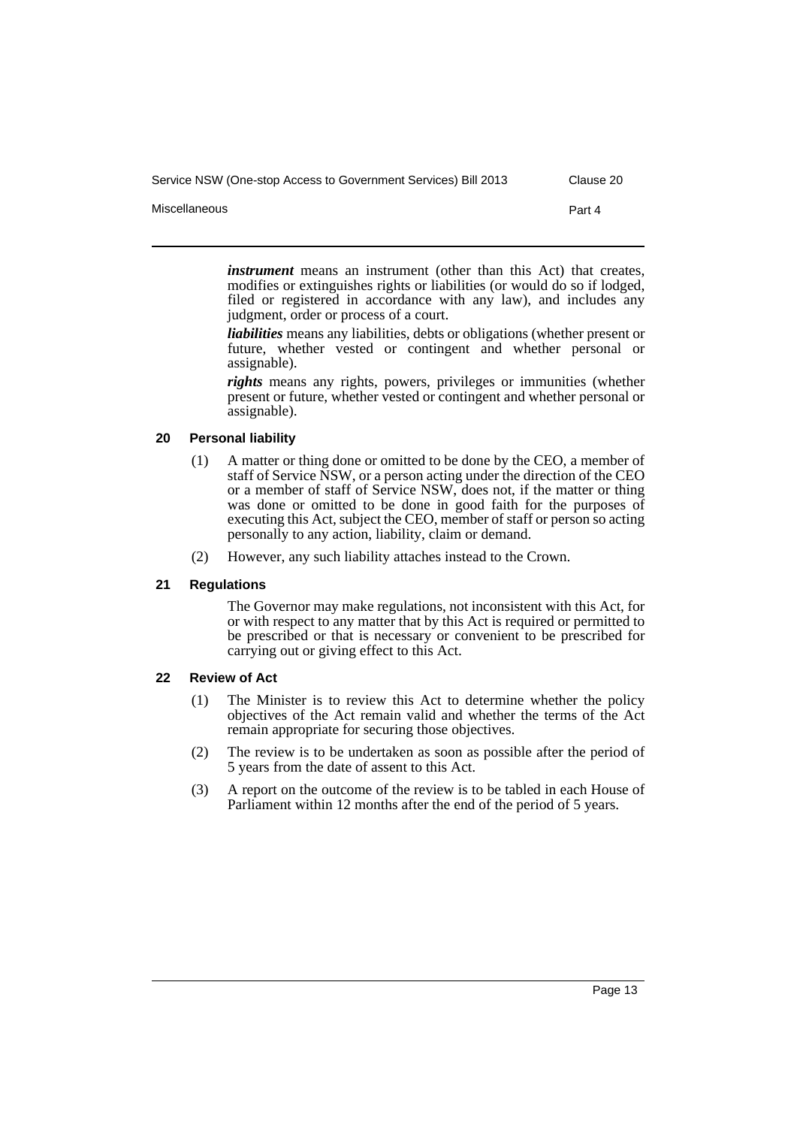Service NSW (One-stop Access to Government Services) Bill 2013 Clause 20

Miscellaneous Part 4

*instrument* means an instrument (other than this Act) that creates, modifies or extinguishes rights or liabilities (or would do so if lodged, filed or registered in accordance with any law), and includes any judgment, order or process of a court.

*liabilities* means any liabilities, debts or obligations (whether present or future, whether vested or contingent and whether personal or assignable).

*rights* means any rights, powers, privileges or immunities (whether present or future, whether vested or contingent and whether personal or assignable).

#### <span id="page-14-0"></span>**20 Personal liability**

- (1) A matter or thing done or omitted to be done by the CEO, a member of staff of Service NSW, or a person acting under the direction of the CEO or a member of staff of Service NSW, does not, if the matter or thing was done or omitted to be done in good faith for the purposes of executing this Act, subject the CEO, member of staff or person so acting personally to any action, liability, claim or demand.
- (2) However, any such liability attaches instead to the Crown.

#### <span id="page-14-1"></span>**21 Regulations**

The Governor may make regulations, not inconsistent with this Act, for or with respect to any matter that by this Act is required or permitted to be prescribed or that is necessary or convenient to be prescribed for carrying out or giving effect to this Act.

#### <span id="page-14-2"></span>**22 Review of Act**

- (1) The Minister is to review this Act to determine whether the policy objectives of the Act remain valid and whether the terms of the Act remain appropriate for securing those objectives.
- (2) The review is to be undertaken as soon as possible after the period of 5 years from the date of assent to this Act.
- (3) A report on the outcome of the review is to be tabled in each House of Parliament within 12 months after the end of the period of 5 years.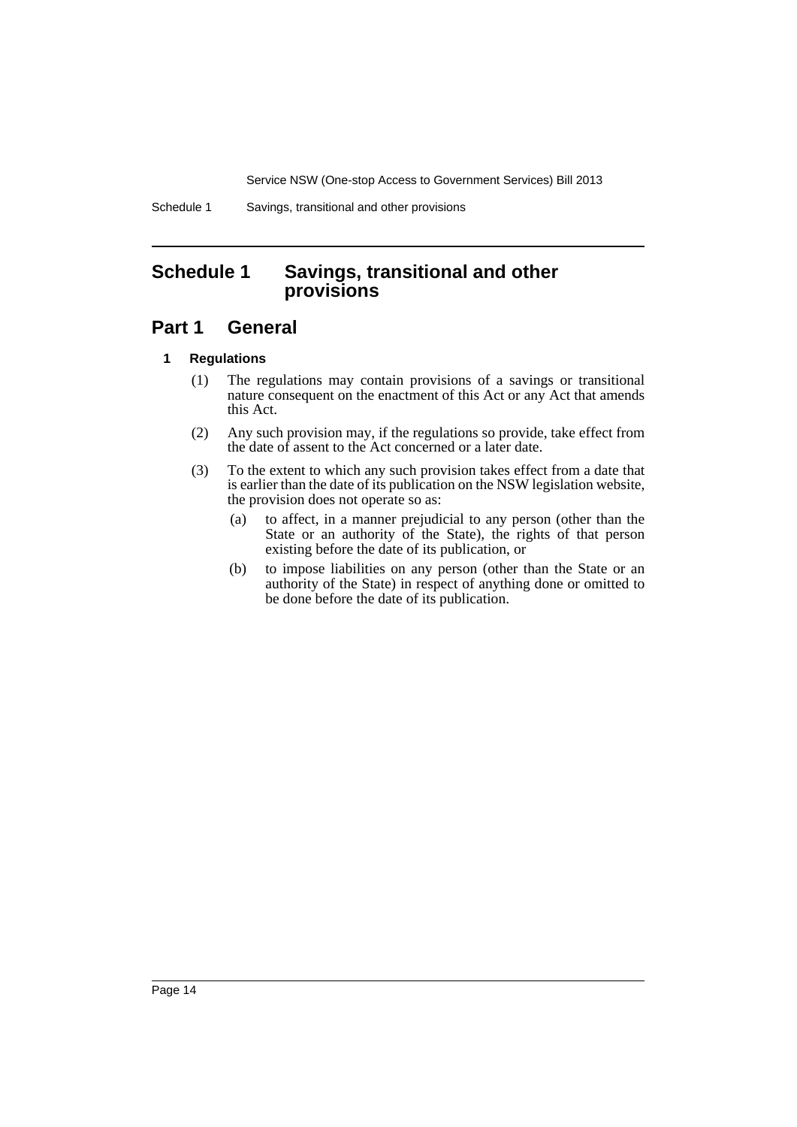Service NSW (One-stop Access to Government Services) Bill 2013

Schedule 1 Savings, transitional and other provisions

# <span id="page-15-0"></span>**Schedule 1 Savings, transitional and other provisions**

# **Part 1 General**

# **1 Regulations**

- (1) The regulations may contain provisions of a savings or transitional nature consequent on the enactment of this Act or any Act that amends this Act.
- (2) Any such provision may, if the regulations so provide, take effect from the date of assent to the Act concerned or a later date.
- (3) To the extent to which any such provision takes effect from a date that is earlier than the date of its publication on the NSW legislation website, the provision does not operate so as:
	- (a) to affect, in a manner prejudicial to any person (other than the State or an authority of the State), the rights of that person existing before the date of its publication, or
	- (b) to impose liabilities on any person (other than the State or an authority of the State) in respect of anything done or omitted to be done before the date of its publication.